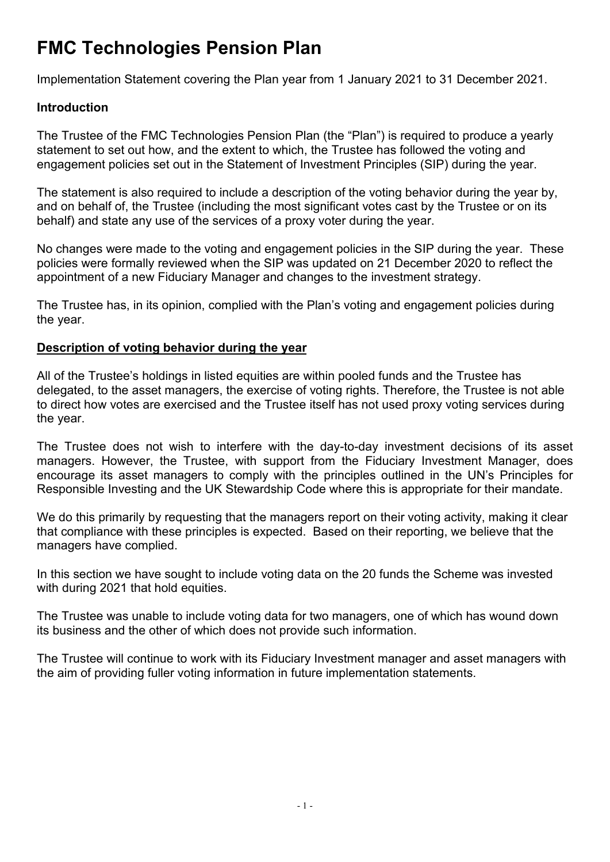# **FMC Technologies Pension Plan**

Implementation Statement covering the Plan year from 1 January 2021 to 31 December 2021.

# **Introduction**

The Trustee of the FMC Technologies Pension Plan (the "Plan") is required to produce a yearly statement to set out how, and the extent to which, the Trustee has followed the voting and engagement policies set out in the Statement of Investment Principles (SIP) during the year.

The statement is also required to include a description of the voting behavior during the year by, and on behalf of, the Trustee (including the most significant votes cast by the Trustee or on its behalf) and state any use of the services of a proxy voter during the year.

No changes were made to the voting and engagement policies in the SIP during the year. These policies were formally reviewed when the SIP was updated on 21 December 2020 to reflect the appointment of a new Fiduciary Manager and changes to the investment strategy.

The Trustee has, in its opinion, complied with the Plan's voting and engagement policies during the year.

## **Description of voting behavior during the year**

All of the Trustee's holdings in listed equities are within pooled funds and the Trustee has delegated, to the asset managers, the exercise of voting rights. Therefore, the Trustee is not able to direct how votes are exercised and the Trustee itself has not used proxy voting services during the year.

The Trustee does not wish to interfere with the day-to-day investment decisions of its asset managers. However, the Trustee, with support from the Fiduciary Investment Manager, does encourage its asset managers to comply with the principles outlined in the UN's Principles for Responsible Investing and the UK Stewardship Code where this is appropriate for their mandate.

We do this primarily by requesting that the managers report on their voting activity, making it clear that compliance with these principles is expected. Based on their reporting, we believe that the managers have complied.

In this section we have sought to include voting data on the 20 funds the Scheme was invested with during 2021 that hold equities.

The Trustee was unable to include voting data for two managers, one of which has wound down its business and the other of which does not provide such information.

The Trustee will continue to work with its Fiduciary Investment manager and asset managers with the aim of providing fuller voting information in future implementation statements.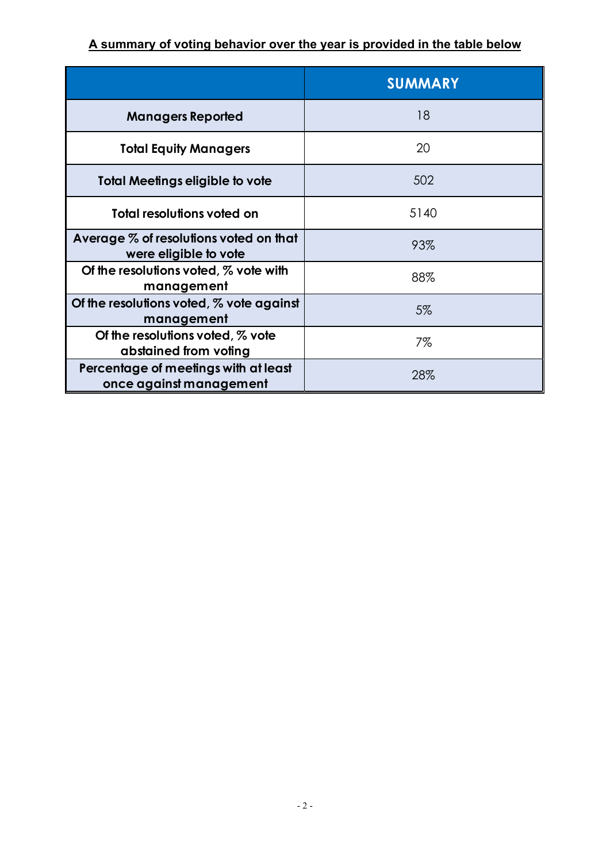# **A summary of voting behavior over the year is provided in the table below**

|                                                                 | <b>SUMMARY</b> |
|-----------------------------------------------------------------|----------------|
| <b>Managers Reported</b>                                        | 18             |
| <b>Total Equity Managers</b>                                    | 20             |
| <b>Total Meetings eligible to vote</b>                          | 502            |
| Total resolutions voted on                                      | 5140           |
| Average % of resolutions voted on that<br>were eligible to vote | 93%            |
| Of the resolutions voted, % vote with<br>management             | 88%            |
| Of the resolutions voted, $%$ vote against<br>management        | 5%             |
| Of the resolutions voted, % vote<br>abstained from voting       | 7%             |
| Percentage of meetings with at least<br>once against management | 28%            |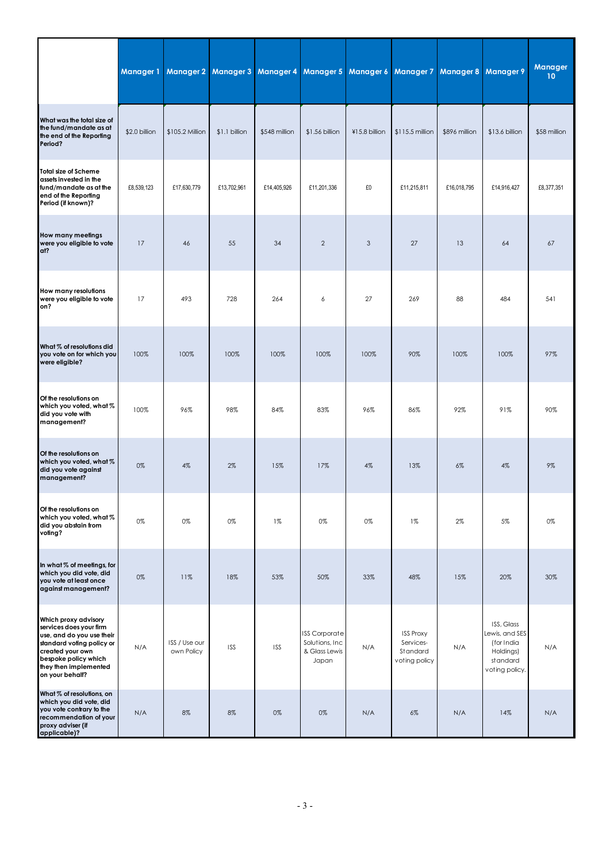|                                                                                                                                                                                                   | Manager 1     | <b>Manager 2</b>            | <b>Manager 3</b> | Manager 4     | <b>Manager 5</b>                                                  | <b>Manager 6</b> | <b>Manager 7</b>                                           | Manager 8     | <b>Manager 9</b>                                                                      | Manager<br>10 |
|---------------------------------------------------------------------------------------------------------------------------------------------------------------------------------------------------|---------------|-----------------------------|------------------|---------------|-------------------------------------------------------------------|------------------|------------------------------------------------------------|---------------|---------------------------------------------------------------------------------------|---------------|
| What was the total size of<br>the fund/mandate as at<br>the end of the Reporting<br>Period?                                                                                                       | \$2.0 billion | \$105.2 Million             | \$1.1 billion    | \$548 million | \$1.56 billion                                                    | ¥15.8 billion    | $$115.5$ million                                           | \$896 million | $$13.6$ billion                                                                       | \$58 million  |
| <b>Total size of Scheme</b><br>assets invested in the<br>fund/mandate as at the<br>end of the Reporting<br>Period (if known)?                                                                     | £8,539,123    | £17,630,779                 | £13,702,961      | £14,405,926   | £11,201,336                                                       | £0               | £11,215,811                                                | £16,018,795   | £14,916,427                                                                           | £8,377,351    |
| How many meetings<br>were you eligible to vote<br>at?                                                                                                                                             | 17            | 46                          | 55               | 34            | $\overline{2}$                                                    | 3                | 27                                                         | 13            | 64                                                                                    | 67            |
| How many resolutions<br>were you eligible to vote<br>on?                                                                                                                                          | 17            | 493                         | 728              | 264           | 6                                                                 | 27               | 269                                                        | 88            | 484                                                                                   | 541           |
| What % of resolutions did<br>you vote on for which you<br>were eligible?                                                                                                                          | 100%          | 100%                        | 100%             | 100%          | 100%                                                              | 100%             | 90%                                                        | 100%          | 100%                                                                                  | 97%           |
| Of the resolutions on<br>which you voted, what %<br>did you vote with<br>management?                                                                                                              | 100%          | 96%                         | 98%              | 84%           | 83%                                                               | 96%              | 86%                                                        | 92%           | 91%                                                                                   | 90%           |
| Of the resolutions on<br>which you voted, what %<br>did you vote against<br>management?                                                                                                           | 0%            | 4%                          | 2%               | 15%           | 17%                                                               | 4%               | 13%                                                        | 6%            | 4%                                                                                    | 9%            |
| Of the resolutions on<br>which you voted, what %<br>did you abstain from<br>voting?                                                                                                               | 0%            | 0%                          | 0%               | $1\%$         | 0%                                                                | 0%               | $1\%$                                                      | $2\%$         | 5%                                                                                    | 0%            |
| In what % of meetings, for<br>which you did vote, did<br>you vote at least once<br>against management?                                                                                            | $0\%$         | 11%                         | 18%              | 53%           | 50%                                                               | 33%              | 48%                                                        | 15%           | 20%                                                                                   | 30%           |
| Which proxy advisory<br>services does your firm<br>use, and do you use their<br>standard voting policy or<br>created your own<br>bespoke policy which<br>they then implemented<br>on your behalf? | N/A           | ISS / Use our<br>own Policy | <b>ISS</b>       | <b>ISS</b>    | <b>ISS Corporate</b><br>Solutions, Inc.<br>& Glass Lewis<br>Japan | N/A              | <b>ISS Proxy</b><br>Services-<br>Standard<br>voting policy | N/A           | ISS, Glass<br>Lewis, and SES<br>(for India<br>Holdings)<br>standard<br>voting policy. | N/A           |
| What % of resolutions, on<br>which you did vote, did<br>you vote contrary to the<br>recommendation of your<br>proxy adviser (if<br>applicable)?                                                   | N/A           | 8%                          | 8%               | 0%            | 0%                                                                | N/A              | $6\%$                                                      | N/A           | 14%                                                                                   | N/A           |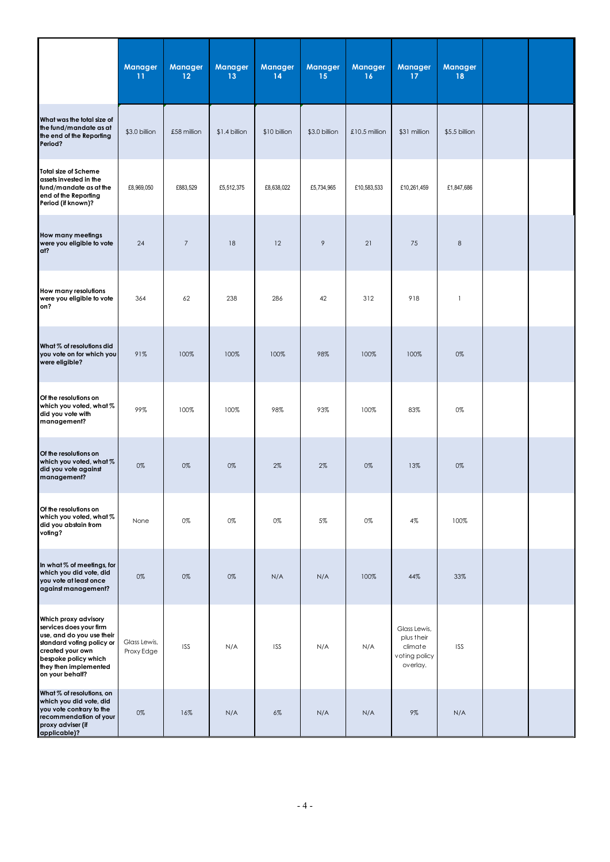|                                                                                                                                                                                                   | Manager<br>11              | Manager<br>12  | Manager<br>13  | <b>Manager</b><br>14 | Manager<br>15 | Manager<br>16   | Manager<br>17                                                      | <b>Manager</b><br>18     |  |
|---------------------------------------------------------------------------------------------------------------------------------------------------------------------------------------------------|----------------------------|----------------|----------------|----------------------|---------------|-----------------|--------------------------------------------------------------------|--------------------------|--|
| What was the total size of<br>the fund/mandate as at<br>the end of the Reporting<br>Period?                                                                                                       | \$3.0 billion              | £58 million    | $$1.4$ billion | \$10 billion         | \$3.0 billion | $£10.5$ million | \$31 million                                                       | \$5.5 billion            |  |
| <b>Total size of Scheme</b><br>assets invested in the<br>fund/mandate as at the<br>end of the Reporting<br>Period (if known)?                                                                     | £8,969,050                 | £883,529       | £5,512,375     | £8,638,022           | £5,734,965    | £10,583,533     | £10,261,459                                                        | £1,847,686               |  |
| How many meetings<br>were you eligible to vote<br>ať?                                                                                                                                             | 24                         | $\overline{7}$ | 18             | 12                   | $\mathcal{P}$ | 21              | 75                                                                 | $\,8\,$                  |  |
| How many resolutions<br>were you eligible to vote<br>on?                                                                                                                                          | 364                        | 62             | 238            | 286                  | 42            | 312             | 918                                                                | $\overline{\phantom{a}}$ |  |
| What % of resolutions did<br>you vote on for which you<br>were eligible?                                                                                                                          | 91%                        | 100%           | 100%           | 100%                 | 98%           | 100%            | 100%                                                               | 0%                       |  |
| Of the resolutions on<br>which you voted, what %<br>did you vote with<br>management?                                                                                                              | 99%                        | 100%           | 100%           | 98%                  | 93%           | 100%            | 83%                                                                | 0%                       |  |
| Of the resolutions on<br>which you voted, what %<br>did you vote against<br>management?                                                                                                           | 0%                         | 0%             | 0%             | $2\%$                | 2%            | 0%              | 13%                                                                | 0%                       |  |
| Of the resolutions on<br>which you voted, what %<br>did you abstain from<br>voling?                                                                                                               | None                       | 0%             | 0%             | 0%                   | 5%            | 0%              | 4%                                                                 | 100%                     |  |
| In what % of meetings, for<br>which you did vote, did<br>you vote at least once<br>against management?                                                                                            | 0%                         | 0%             | 0%             | N/A                  | N/A           | 100%            | 44%                                                                | 33%                      |  |
| Which proxy advisory<br>services does your firm<br>use, and do you use their<br>standard voting policy or<br>created your own<br>bespoke policy which<br>they then implemented<br>on your behalf? | Glass Lewis,<br>Proxy Edge | <b>ISS</b>     | N/A            | <b>ISS</b>           | N/A           | N/A             | Glass Lewis,<br>plus their<br>climate<br>voting policy<br>overlay. | <b>ISS</b>               |  |
| What % of resolutions, on<br>which you did vote, did<br>you vote contrary to the<br>recommendation of your<br>proxy adviser (if<br>applicable)?                                                   | $0\%$                      | 16%            | N/A            | $6\%$                | N/A           | N/A             | 9%                                                                 | N/A                      |  |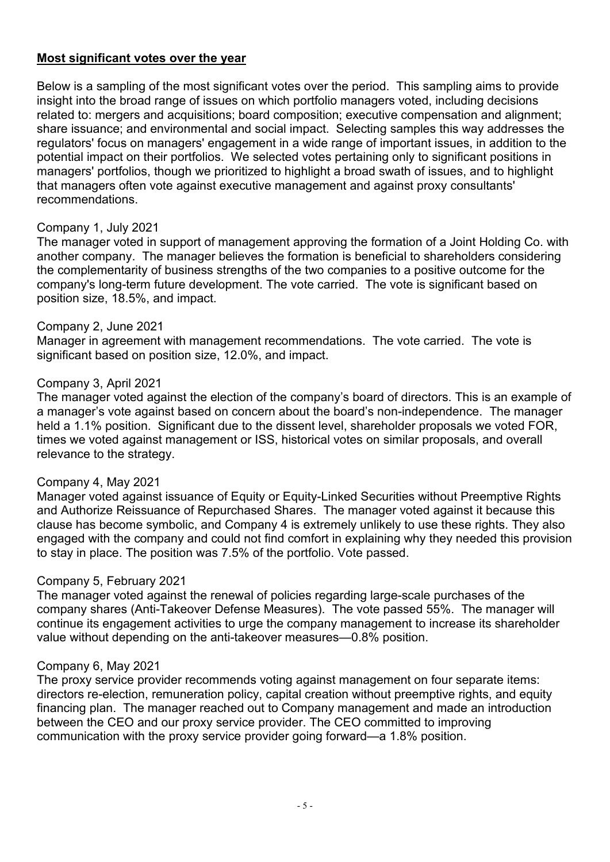# **Most significant votes over the year**

Below is a sampling of the most significant votes over the period. This sampling aims to provide insight into the broad range of issues on which portfolio managers voted, including decisions related to: mergers and acquisitions; board composition; executive compensation and alignment; share issuance; and environmental and social impact. Selecting samples this way addresses the regulators' focus on managers' engagement in a wide range of important issues, in addition to the potential impact on their portfolios. We selected votes pertaining only to significant positions in managers' portfolios, though we prioritized to highlight a broad swath of issues, and to highlight that managers often vote against executive management and against proxy consultants' recommendations.

#### Company 1, July 2021

The manager voted in support of management approving the formation of a Joint Holding Co. with another company. The manager believes the formation is beneficial to shareholders considering the complementarity of business strengths of the two companies to a positive outcome for the company's long-term future development. The vote carried. The vote is significant based on position size, 18.5%, and impact.

#### Company 2, June 2021

Manager in agreement with management recommendations. The vote carried. The vote is significant based on position size, 12.0%, and impact.

#### Company 3, April 2021

The manager voted against the election of the company's board of directors. This is an example of a manager's vote against based on concern about the board's non-independence. The manager held a 1.1% position. Significant due to the dissent level, shareholder proposals we voted FOR, times we voted against management or ISS, historical votes on similar proposals, and overall relevance to the strategy.

#### Company 4, May 2021

Manager voted against issuance of Equity or Equity-Linked Securities without Preemptive Rights and Authorize Reissuance of Repurchased Shares. The manager voted against it because this clause has become symbolic, and Company 4 is extremely unlikely to use these rights. They also engaged with the company and could not find comfort in explaining why they needed this provision to stay in place. The position was 7.5% of the portfolio. Vote passed.

#### Company 5, February 2021

The manager voted against the renewal of policies regarding large-scale purchases of the company shares (Anti-Takeover Defense Measures). The vote passed 55%. The manager will continue its engagement activities to urge the company management to increase its shareholder value without depending on the anti-takeover measures—0.8% position.

#### Company 6, May 2021

The proxy service provider recommends voting against management on four separate items: directors re-election, remuneration policy, capital creation without preemptive rights, and equity financing plan. The manager reached out to Company management and made an introduction between the CEO and our proxy service provider. The CEO committed to improving communication with the proxy service provider going forward—a 1.8% position.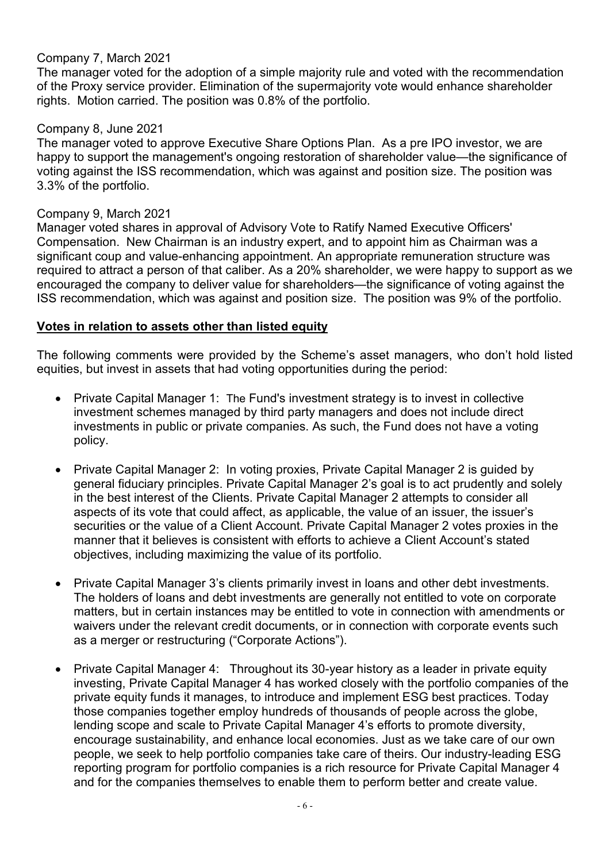# Company 7, March 2021

The manager voted for the adoption of a simple majority rule and voted with the recommendation of the Proxy service provider. Elimination of the supermajority vote would enhance shareholder rights. Motion carried. The position was 0.8% of the portfolio.

# Company 8, June 2021

The manager voted to approve Executive Share Options Plan. As a pre IPO investor, we are happy to support the management's ongoing restoration of shareholder value—the significance of voting against the ISS recommendation, which was against and position size. The position was 3.3% of the portfolio.

## Company 9, March 2021

Manager voted shares in approval of Advisory Vote to Ratify Named Executive Officers' Compensation. New Chairman is an industry expert, and to appoint him as Chairman was a significant coup and value-enhancing appointment. An appropriate remuneration structure was required to attract a person of that caliber. As a 20% shareholder, we were happy to support as we encouraged the company to deliver value for shareholders—the significance of voting against the ISS recommendation, which was against and position size. The position was 9% of the portfolio.

# **Votes in relation to assets other than listed equity**

The following comments were provided by the Scheme's asset managers, who don't hold listed equities, but invest in assets that had voting opportunities during the period:

- Private Capital Manager 1: The Fund's investment strategy is to invest in collective investment schemes managed by third party managers and does not include direct investments in public or private companies. As such, the Fund does not have a voting policy.
- Private Capital Manager 2: In voting proxies, Private Capital Manager 2 is guided by general fiduciary principles. Private Capital Manager 2's goal is to act prudently and solely in the best interest of the Clients. Private Capital Manager 2 attempts to consider all aspects of its vote that could affect, as applicable, the value of an issuer, the issuer's securities or the value of a Client Account. Private Capital Manager 2 votes proxies in the manner that it believes is consistent with efforts to achieve a Client Account's stated objectives, including maximizing the value of its portfolio.
- Private Capital Manager 3's clients primarily invest in loans and other debt investments. The holders of loans and debt investments are generally not entitled to vote on corporate matters, but in certain instances may be entitled to vote in connection with amendments or waivers under the relevant credit documents, or in connection with corporate events such as a merger or restructuring ("Corporate Actions").
- Private Capital Manager 4: Throughout its 30-year history as a leader in private equity investing, Private Capital Manager 4 has worked closely with the portfolio companies of the private equity funds it manages, to introduce and implement ESG best practices. Today those companies together employ hundreds of thousands of people across the globe, lending scope and scale to Private Capital Manager 4's efforts to promote diversity, encourage sustainability, and enhance local economies. Just as we take care of our own people, we seek to help portfolio companies take care of theirs. Our industry-leading ESG reporting program for portfolio companies is a rich resource for Private Capital Manager 4 and for the companies themselves to enable them to perform better and create value.